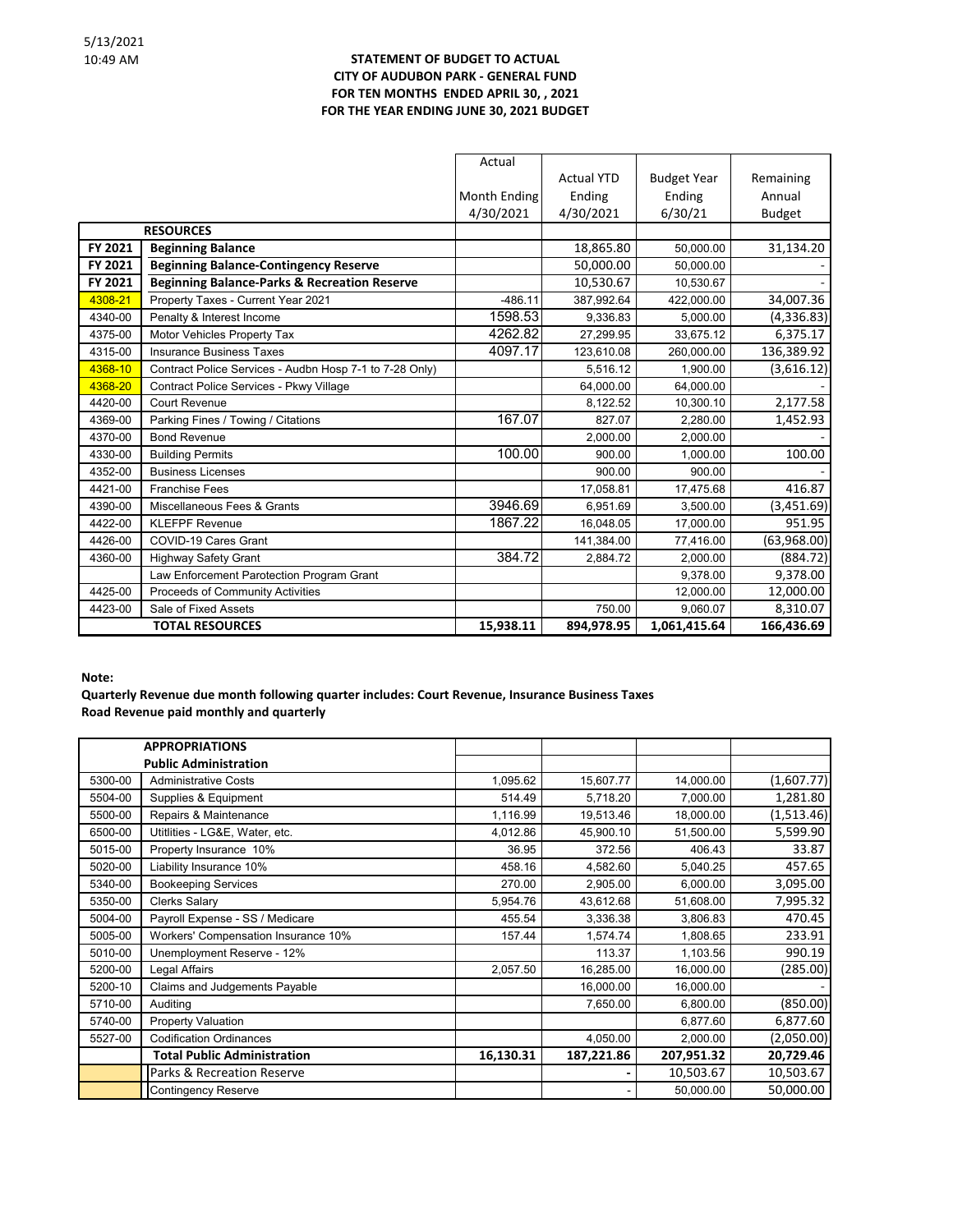## **STATEMENT OF BUDGET TO ACTUAL CITY OF AUDUBON PARK - GENERAL FUND FOR TEN MONTHS ENDED APRIL 30, , 2021 FOR THE YEAR ENDING JUNE 30, 2021 BUDGET**

|                  |                                                         | Actual       |                   |                    |               |
|------------------|---------------------------------------------------------|--------------|-------------------|--------------------|---------------|
|                  |                                                         |              | <b>Actual YTD</b> | <b>Budget Year</b> | Remaining     |
|                  |                                                         | Month Ending | Ending            | Ending             | Annual        |
|                  |                                                         | 4/30/2021    | 4/30/2021         | 6/30/21            | <b>Budget</b> |
| <b>RESOURCES</b> |                                                         |              |                   |                    |               |
| FY 2021          | <b>Beginning Balance</b>                                |              | 18,865.80         | 50,000.00          | 31,134.20     |
| FY 2021          | <b>Beginning Balance-Contingency Reserve</b>            |              | 50,000.00         | 50,000.00          |               |
| FY 2021          | <b>Beginning Balance-Parks &amp; Recreation Reserve</b> |              | 10,530.67         | 10,530.67          |               |
| 4308-21          | Property Taxes - Current Year 2021                      | $-486.11$    | 387,992.64        | 422,000.00         | 34,007.36     |
| 4340-00          | Penalty & Interest Income                               | 1598.53      | 9,336.83          | 5,000.00           | (4,336.83)    |
| 4375-00          | Motor Vehicles Property Tax                             | 4262.82      | 27,299.95         | 33,675.12          | 6,375.17      |
| 4315-00          | <b>Insurance Business Taxes</b>                         | 4097.17      | 123,610.08        | 260,000.00         | 136,389.92    |
| 4368-10          | Contract Police Services - Audbn Hosp 7-1 to 7-28 Only) |              | 5,516.12          | 1,900.00           | (3,616.12)    |
| 4368-20          | Contract Police Services - Pkwy Village                 |              | 64,000.00         | 64,000.00          |               |
| 4420-00          | <b>Court Revenue</b>                                    |              | 8,122.52          | 10,300.10          | 2,177.58      |
| 4369-00          | Parking Fines / Towing / Citations                      | 167.07       | 827.07            | 2,280.00           | 1,452.93      |
| 4370-00          | <b>Bond Revenue</b>                                     |              | 2,000.00          | 2,000.00           |               |
| 4330-00          | <b>Building Permits</b>                                 | 100.00       | 900.00            | 1,000.00           | 100.00        |
| 4352-00          | <b>Business Licenses</b>                                |              | 900.00            | 900.00             |               |
| 4421-00          | <b>Franchise Fees</b>                                   |              | 17,058.81         | 17,475.68          | 416.87        |
| 4390-00          | Miscellaneous Fees & Grants                             | 3946.69      | 6,951.69          | 3,500.00           | (3,451.69)    |
| 4422-00          | <b>KLEFPF Revenue</b>                                   | 1867.22      | 16,048.05         | 17,000.00          | 951.95        |
| 4426-00          | COVID-19 Cares Grant                                    |              | 141,384.00        | 77,416.00          | (63,968.00)   |
| 4360-00          | <b>Highway Safety Grant</b>                             | 384.72       | 2,884.72          | 2,000.00           | (884.72)      |
|                  | Law Enforcement Parotection Program Grant               |              |                   | 9,378.00           | 9,378.00      |
| 4425-00          | Proceeds of Community Activities                        |              |                   | 12,000.00          | 12,000.00     |
| 4423-00          | Sale of Fixed Assets                                    |              | 750.00            | 9,060.07           | 8,310.07      |
|                  | <b>TOTAL RESOURCES</b>                                  | 15,938.11    | 894,978.95        | 1,061,415.64       | 166,436.69    |

**Note:**

**Quarterly Revenue due month following quarter includes: Court Revenue, Insurance Business Taxes Road Revenue paid monthly and quarterly**

|         | <b>APPROPRIATIONS</b>               |           |            |            |            |
|---------|-------------------------------------|-----------|------------|------------|------------|
|         | <b>Public Administration</b>        |           |            |            |            |
| 5300-00 | <b>Administrative Costs</b>         | 1,095.62  | 15,607.77  | 14,000.00  | (1,607.77) |
| 5504-00 | Supplies & Equipment                | 514.49    | 5,718.20   | 7,000.00   | 1,281.80   |
| 5500-00 | Repairs & Maintenance               | 1,116.99  | 19,513.46  | 18,000.00  | (1,513.46) |
| 6500-00 | Utitlities - LG&E, Water, etc.      | 4,012.86  | 45,900.10  | 51,500.00  | 5,599.90   |
| 5015-00 | Property Insurance 10%              | 36.95     | 372.56     | 406.43     | 33.87      |
| 5020-00 | Liability Insurance 10%             | 458.16    | 4,582.60   | 5,040.25   | 457.65     |
| 5340-00 | <b>Bookeeping Services</b>          | 270.00    | 2,905.00   | 6,000.00   | 3,095.00   |
| 5350-00 | <b>Clerks Salary</b>                | 5,954.76  | 43,612.68  | 51,608.00  | 7,995.32   |
| 5004-00 | Payroll Expense - SS / Medicare     | 455.54    | 3,336.38   | 3,806.83   | 470.45     |
| 5005-00 | Workers' Compensation Insurance 10% | 157.44    | 1,574.74   | 1,808.65   | 233.91     |
| 5010-00 | Unemployment Reserve - 12%          |           | 113.37     | 1,103.56   | 990.19     |
| 5200-00 | Legal Affairs                       | 2,057.50  | 16,285.00  | 16,000.00  | (285.00)   |
| 5200-10 | Claims and Judgements Payable       |           | 16,000.00  | 16,000.00  |            |
| 5710-00 | Auditing                            |           | 7,650.00   | 6,800.00   | (850.00)   |
| 5740-00 | <b>Property Valuation</b>           |           |            | 6,877.60   | 6,877.60   |
| 5527-00 | <b>Codification Ordinances</b>      |           | 4,050.00   | 2,000.00   | (2,050.00) |
|         | <b>Total Public Administration</b>  | 16,130.31 | 187,221.86 | 207,951.32 | 20,729.46  |
|         | Parks & Recreation Reserve          |           |            | 10,503.67  | 10,503.67  |
|         | <b>Contingency Reserve</b>          |           |            | 50,000.00  | 50,000.00  |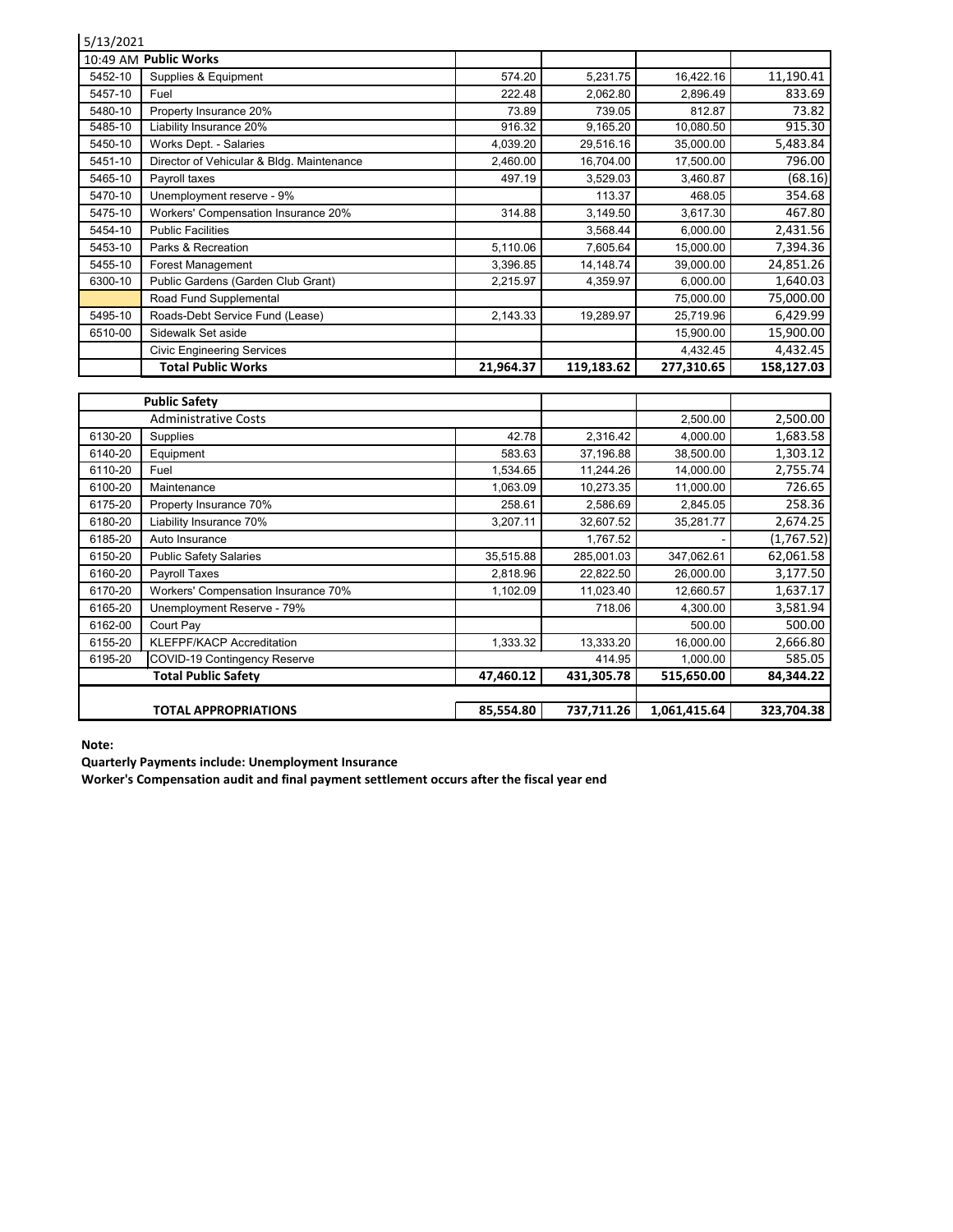| 5/13/2021 |                                                            |           |                      |                        |                     |
|-----------|------------------------------------------------------------|-----------|----------------------|------------------------|---------------------|
|           | 10:49 AM Public Works                                      |           |                      |                        |                     |
| 5452-10   | Supplies & Equipment                                       | 574.20    | 5,231.75             | 16,422.16              | 11,190.41           |
| 5457-10   | Fuel                                                       | 222.48    | 2,062.80             | 2,896.49               | 833.69              |
| 5480-10   | Property Insurance 20%                                     | 73.89     | 739.05               | 812.87                 | 73.82               |
| 5485-10   | Liability Insurance 20%                                    | 916.32    | 9,165.20             | 10,080.50              | 915.30              |
| 5450-10   | Works Dept. - Salaries                                     | 4,039.20  | 29,516.16            | 35,000.00              | 5,483.84            |
| 5451-10   | Director of Vehicular & Bldg. Maintenance                  | 2,460.00  | 16,704.00            | 17,500.00              | 796.00              |
| 5465-10   | Payroll taxes                                              | 497.19    | 3,529.03             | 3,460.87               | (68.16)             |
| 5470-10   | Unemployment reserve - 9%                                  |           | 113.37               | 468.05                 | 354.68              |
| 5475-10   | Workers' Compensation Insurance 20%                        | 314.88    | 3,149.50             | 3,617.30               | 467.80              |
| 5454-10   | <b>Public Facilities</b>                                   |           | 3,568.44             | 6,000.00               | 2,431.56            |
| 5453-10   | Parks & Recreation                                         | 5,110.06  | 7,605.64             | 15,000.00              | 7,394.36            |
| 5455-10   | Forest Management                                          | 3,396.85  | 14,148.74            | 39,000.00              | 24,851.26           |
| 6300-10   | Public Gardens (Garden Club Grant)                         | 2,215.97  | 4,359.97             | 6,000.00               | 1,640.03            |
|           | Road Fund Supplemental                                     |           |                      | 75,000.00              | 75,000.00           |
| 5495-10   | Roads-Debt Service Fund (Lease)                            | 2,143.33  | 19,289.97            | 25,719.96              | 6,429.99            |
| 6510-00   | Sidewalk Set aside                                         |           |                      | 15,900.00              | 15,900.00           |
|           | <b>Civic Engineering Services</b>                          |           |                      | 4,432.45               | 4,432.45            |
|           |                                                            |           |                      |                        |                     |
|           | <b>Total Public Works</b>                                  | 21,964.37 | 119,183.62           | 277,310.65             | 158,127.03          |
|           |                                                            |           |                      |                        |                     |
|           | <b>Public Safety</b>                                       |           |                      |                        |                     |
|           | <b>Administrative Costs</b>                                |           |                      | 2,500.00               | 2,500.00            |
| 6130-20   | Supplies                                                   | 42.78     | 2,316.42             | 4,000.00               | 1,683.58            |
| 6140-20   | Equipment                                                  | 583.63    | 37,196.88            | 38,500.00              | 1,303.12            |
| 6110-20   | Fuel                                                       | 1,534.65  | 11,244.26            | 14,000.00              | 2,755.74            |
| 6100-20   | Maintenance                                                | 1,063.09  | 10,273.35            | 11,000.00              | 726.65              |
| 6175-20   | Property Insurance 70%                                     | 258.61    | 2,586.69             | 2,845.05               | 258.36              |
| 6180-20   | Liability Insurance 70%                                    | 3,207.11  | 32,607.52            | 35,281.77              | 2,674.25            |
| 6185-20   | Auto Insurance                                             |           | 1,767.52             |                        | (1,767.52)          |
| 6150-20   | <b>Public Safety Salaries</b>                              | 35,515.88 | 285,001.03           | 347,062.61             | 62,061.58           |
| 6160-20   | Payroll Taxes                                              | 2,818.96  | 22,822.50            | 26,000.00              | 3,177.50            |
| 6170-20   | Workers' Compensation Insurance 70%                        | 1,102.09  | 11,023.40            | 12,660.57              | 1,637.17            |
| 6165-20   | Unemployment Reserve - 79%                                 |           | 718.06               | 4,300.00               | 3,581.94            |
| 6162-00   | Court Pay                                                  |           |                      | 500.00                 | 500.00              |
| 6155-20   | <b>KLEFPF/KACP Accreditation</b>                           | 1,333.32  | 13,333.20            | 16,000.00              | 2,666.80            |
| 6195-20   | COVID-19 Contingency Reserve<br><b>Total Public Safety</b> | 47,460.12 | 414.95<br>431,305.78 | 1,000.00<br>515,650.00 | 585.05<br>84,344.22 |

 **TOTAL APPROPRIATIONS** 85,554.80 737,711.26 1,061,415.64 323,704.38

**Note:**

**Quarterly Payments include: Unemployment Insurance**

**Worker's Compensation audit and final payment settlement occurs after the fiscal year end**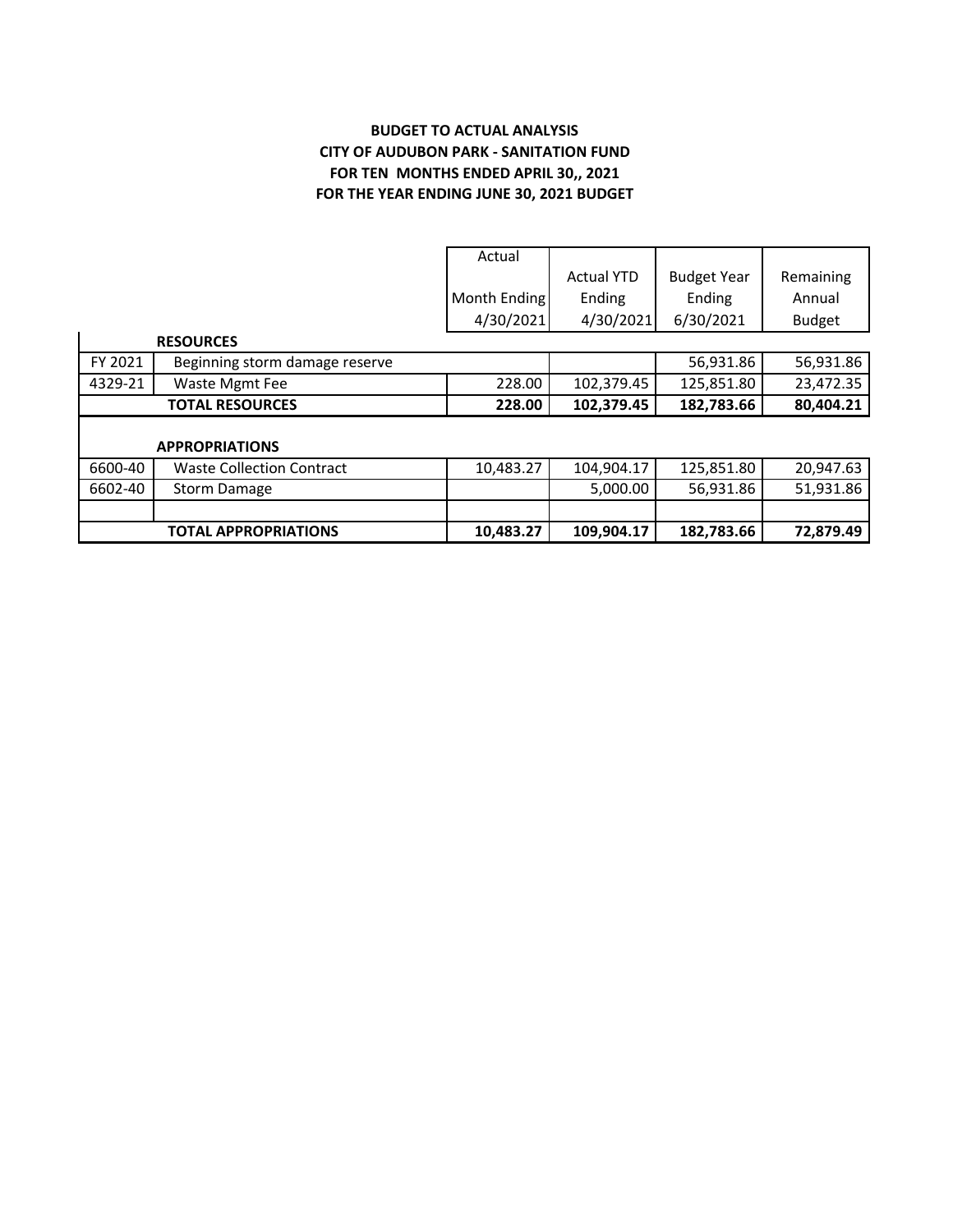## **BUDGET TO ACTUAL ANALYSIS CITY OF AUDUBON PARK - SANITATION FUND FOR TEN MONTHS ENDED APRIL 30,, 2021 FOR THE YEAR ENDING JUNE 30, 2021 BUDGET**

|         |                                  | Actual       |                   |                    |               |
|---------|----------------------------------|--------------|-------------------|--------------------|---------------|
|         |                                  |              | <b>Actual YTD</b> | <b>Budget Year</b> | Remaining     |
|         |                                  | Month Ending | Ending            | Ending             | Annual        |
|         |                                  | 4/30/2021    | 4/30/2021         | 6/30/2021          | <b>Budget</b> |
|         | <b>RESOURCES</b>                 |              |                   |                    |               |
| FY 2021 | Beginning storm damage reserve   |              |                   | 56,931.86          | 56,931.86     |
| 4329-21 | Waste Mgmt Fee                   | 228.00       | 102,379.45        | 125,851.80         | 23,472.35     |
|         | <b>TOTAL RESOURCES</b>           | 228.00       | 102,379.45        | 182,783.66         | 80,404.21     |
|         |                                  |              |                   |                    |               |
|         | <b>APPROPRIATIONS</b>            |              |                   |                    |               |
| 6600-40 | <b>Waste Collection Contract</b> | 10,483.27    | 104,904.17        | 125,851.80         | 20,947.63     |
| 6602-40 | <b>Storm Damage</b>              |              | 5,000.00          | 56,931.86          | 51,931.86     |
|         |                                  |              |                   |                    |               |
|         | <b>TOTAL APPROPRIATIONS</b>      | 10,483.27    | 109,904.17        | 182,783.66         | 72,879.49     |